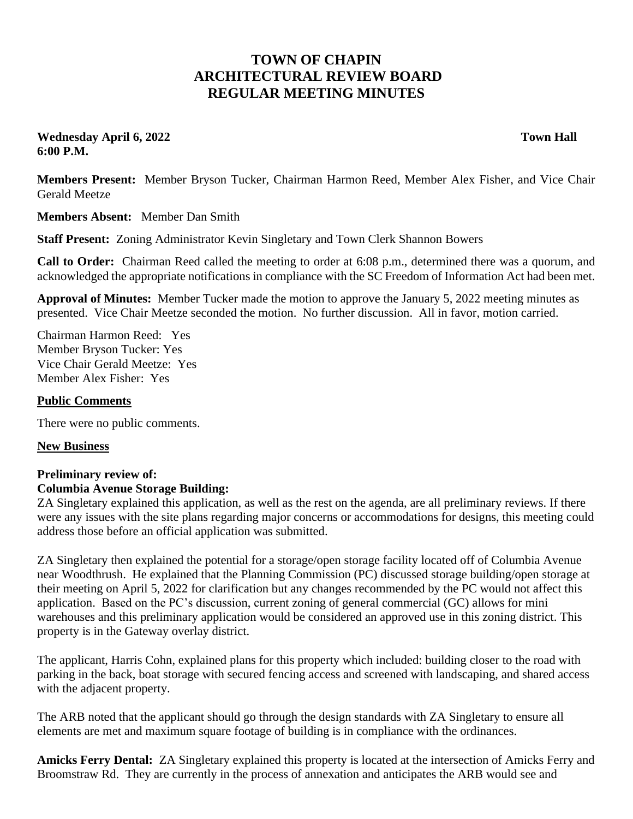## **TOWN OF CHAPIN ARCHITECTURAL REVIEW BOARD REGULAR MEETING MINUTES**

**Wednesday April 6, 2022 Town Hall 6:00 P.M.**

**Members Present:** Member Bryson Tucker, Chairman Harmon Reed, Member Alex Fisher, and Vice Chair Gerald Meetze

**Members Absent:** Member Dan Smith

**Staff Present:** Zoning Administrator Kevin Singletary and Town Clerk Shannon Bowers

**Call to Order:** Chairman Reed called the meeting to order at 6:08 p.m., determined there was a quorum, and acknowledged the appropriate notifications in compliance with the SC Freedom of Information Act had been met.

**Approval of Minutes:** Member Tucker made the motion to approve the January 5, 2022 meeting minutes as presented. Vice Chair Meetze seconded the motion. No further discussion. All in favor, motion carried.

Chairman Harmon Reed: Yes Member Bryson Tucker: Yes Vice Chair Gerald Meetze: Yes Member Alex Fisher: Yes

## **Public Comments**

There were no public comments.

## **New Business**

## **Preliminary review of: Columbia Avenue Storage Building:**

ZA Singletary explained this application, as well as the rest on the agenda, are all preliminary reviews. If there were any issues with the site plans regarding major concerns or accommodations for designs, this meeting could address those before an official application was submitted.

ZA Singletary then explained the potential for a storage/open storage facility located off of Columbia Avenue near Woodthrush. He explained that the Planning Commission (PC) discussed storage building/open storage at their meeting on April 5, 2022 for clarification but any changes recommended by the PC would not affect this application. Based on the PC's discussion, current zoning of general commercial (GC) allows for mini warehouses and this preliminary application would be considered an approved use in this zoning district. This property is in the Gateway overlay district.

The applicant, Harris Cohn, explained plans for this property which included: building closer to the road with parking in the back, boat storage with secured fencing access and screened with landscaping, and shared access with the adjacent property.

The ARB noted that the applicant should go through the design standards with ZA Singletary to ensure all elements are met and maximum square footage of building is in compliance with the ordinances.

**Amicks Ferry Dental:** ZA Singletary explained this property is located at the intersection of Amicks Ferry and Broomstraw Rd. They are currently in the process of annexation and anticipates the ARB would see and